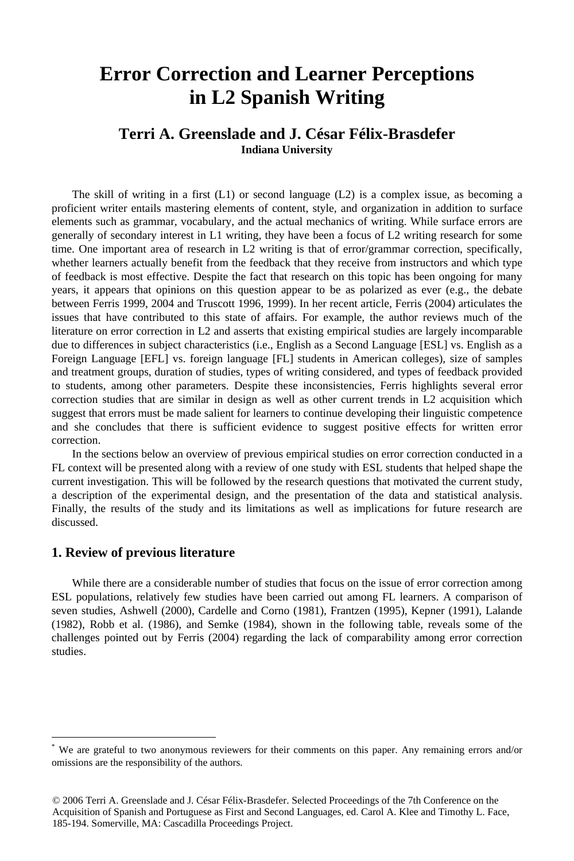# **Error Correction and Learner Perceptions in L2 Spanish Writing**

# **Terri A. Greenslade and J. César Félix-Brasdefer Indiana University**

The skill of writing in a first  $(L1)$  or second language  $(L2)$  is a complex issue, as becoming a proficient writer entails mastering elements of content, style, and organization in addition to surface elements such as grammar, vocabulary, and the actual mechanics of writing. While surface errors are generally of secondary interest in L1 writing, they have been a focus of L2 writing research for some time. One important area of research in L2 writing is that of error/grammar correction, specifically, whether learners actually benefit from the feedback that they receive from instructors and which type of feedback is most effective. Despite the fact that research on this topic has been ongoing for many years, it appears that opinions on this question appear to be as polarized as ever (e.g., the debate between Ferris 1999, 2004 and Truscott 1996, 1999). In her recent article, Ferris (2004) articulates the issues that have contributed to this state of affairs. For example, the author reviews much of the literature on error correction in L2 and asserts that existing empirical studies are largely incomparable due to differences in subject characteristics (i.e., English as a Second Language [ESL] vs. English as a Foreign Language [EFL] vs. foreign language [FL] students in American colleges), size of samples and treatment groups, duration of studies, types of writing considered, and types of feedback provided to students, among other parameters. Despite these inconsistencies, Ferris highlights several error correction studies that are similar in design as well as other current trends in L2 acquisition which suggest that errors must be made salient for learners to continue developing their linguistic competence and she concludes that there is sufficient evidence to suggest positive effects for written error correction.

In the sections below an overview of previous empirical studies on error correction conducted in a FL context will be presented along with a review of one study with ESL students that helped shape the current investigation. This will be followed by the research questions that motivated the current study, a description of the experimental design, and the presentation of the data and statistical analysis. Finally, the results of the study and its limitations as well as implications for future research are discussed.

#### **1. Review of previous literature**

1

While there are a considerable number of studies that focus on the issue of error correction among ESL populations, relatively few studies have been carried out among FL learners. A comparison of seven studies, Ashwell (2000), Cardelle and Corno (1981), Frantzen (1995), Kepner (1991), Lalande (1982), Robb et al. (1986), and Semke (1984), shown in the following table, reveals some of the challenges pointed out by Ferris (2004) regarding the lack of comparability among error correction studies.

<sup>\*</sup> We are grateful to two anonymous reviewers for their comments on this paper. Any remaining errors and/or omissions are the responsibility of the authors.

<sup>© 2006</sup> Terri A. Greenslade and J. César Félix-Brasdefer. Selected Proceedings of the 7th Conference on the Acquisition of Spanish and Portuguese as First and Second Languages, ed. Carol A. Klee and Timothy L. Face, 185-194. Somerville, MA: Cascadilla Proceedings Project.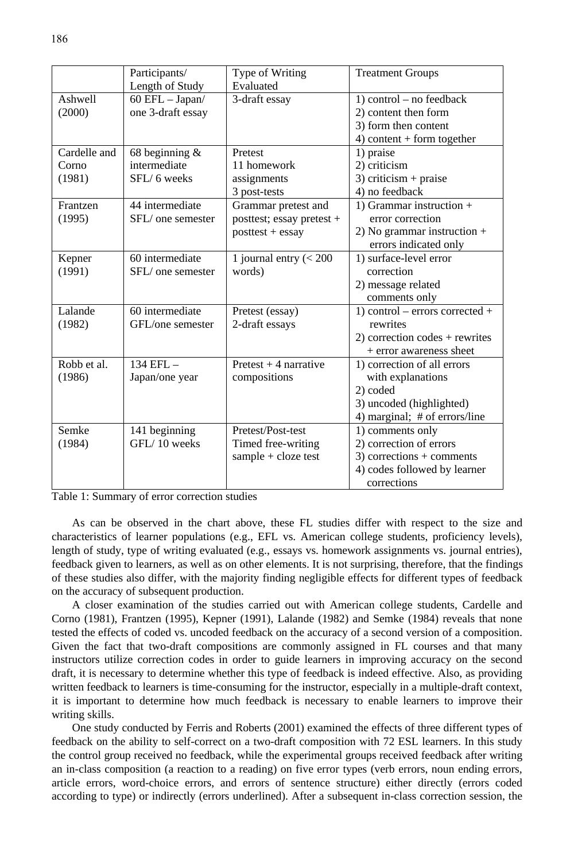|              | Participants/       | Type of Writing           | <b>Treatment Groups</b>          |
|--------------|---------------------|---------------------------|----------------------------------|
|              | Length of Study     | Evaluated                 |                                  |
| Ashwell      | $60$ EFL $-$ Japan/ | 3-draft essay             | $1)$ control – no feedback       |
| (2000)       | one 3-draft essay   |                           | 2) content then form             |
|              |                     |                           | 3) form then content             |
|              |                     |                           | $4)$ content + form together     |
| Cardelle and | 68 beginning $\&$   | Pretest                   | 1) praise                        |
| Corno        | intermediate        | 11 homework               | 2) criticism                     |
| (1981)       | SFL/6 weeks         | assignments               | $3$ ) criticism + praise         |
|              |                     | 3 post-tests              | 4) no feedback                   |
| Frantzen     | 44 intermediate     | Grammar pretest and       | 1) Grammar instruction $+$       |
| (1995)       | SFL/one semester    | posttest; essay pretest + | error correction                 |
|              |                     | $posttest + essay$        | 2) No grammar instruction $+$    |
|              |                     |                           | errors indicated only            |
| Kepner       | 60 intermediate     | 1 journal entry $(< 200$  | 1) surface-level error           |
| (1991)       | SFL/one semester    | words)                    | correction                       |
|              |                     |                           | 2) message related               |
|              |                     |                           | comments only                    |
| Lalande      | 60 intermediate     | Pretest (essay)           | 1) control – errors corrected +  |
| (1982)       | GFL/one semester    | 2-draft essays            | rewrites                         |
|              |                     |                           | $2)$ correction codes + rewrites |
|              |                     |                           | $+$ error awareness sheet        |
| Robb et al.  | $134$ EFL $-$       | Pretest $+4$ narrative    | 1) correction of all errors      |
| (1986)       | Japan/one year      | compositions              | with explanations                |
|              |                     |                           | 2) coded                         |
|              |                     |                           | 3) uncoded (highlighted)         |
|              |                     |                           | 4) marginal; # of errors/line    |
| Semke        | 141 beginning       | Pretest/Post-test         | 1) comments only                 |
| (1984)       | GFL/10 weeks        | Timed free-writing        | 2) correction of errors          |
|              |                     | sample + cloze test       | $3)$ corrections + comments      |
|              |                     |                           | 4) codes followed by learner     |
|              |                     |                           | corrections                      |

Table 1: Summary of error correction studies

As can be observed in the chart above, these FL studies differ with respect to the size and characteristics of learner populations (e.g., EFL vs. American college students, proficiency levels), length of study, type of writing evaluated (e.g., essays vs. homework assignments vs. journal entries), feedback given to learners, as well as on other elements. It is not surprising, therefore, that the findings of these studies also differ, with the majority finding negligible effects for different types of feedback on the accuracy of subsequent production.

A closer examination of the studies carried out with American college students, Cardelle and Corno (1981), Frantzen (1995), Kepner (1991), Lalande (1982) and Semke (1984) reveals that none tested the effects of coded vs. uncoded feedback on the accuracy of a second version of a composition. Given the fact that two-draft compositions are commonly assigned in FL courses and that many instructors utilize correction codes in order to guide learners in improving accuracy on the second draft, it is necessary to determine whether this type of feedback is indeed effective. Also, as providing written feedback to learners is time-consuming for the instructor, especially in a multiple-draft context, it is important to determine how much feedback is necessary to enable learners to improve their writing skills.

One study conducted by Ferris and Roberts (2001) examined the effects of three different types of feedback on the ability to self-correct on a two-draft composition with 72 ESL learners. In this study the control group received no feedback, while the experimental groups received feedback after writing an in-class composition (a reaction to a reading) on five error types (verb errors, noun ending errors, article errors, word-choice errors, and errors of sentence structure) either directly (errors coded according to type) or indirectly (errors underlined). After a subsequent in-class correction session, the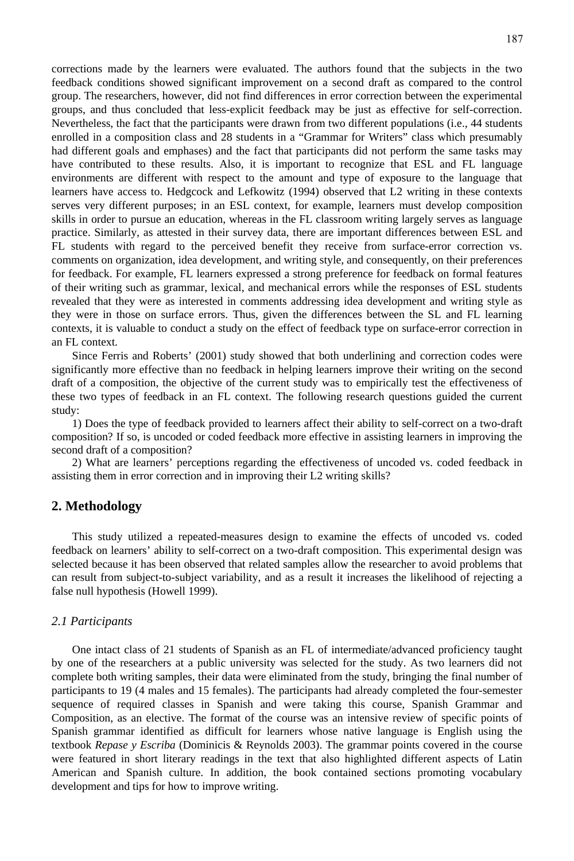corrections made by the learners were evaluated. The authors found that the subjects in the two feedback conditions showed significant improvement on a second draft as compared to the control group. The researchers, however, did not find differences in error correction between the experimental groups, and thus concluded that less-explicit feedback may be just as effective for self-correction. Nevertheless, the fact that the participants were drawn from two different populations (i.e., 44 students enrolled in a composition class and 28 students in a "Grammar for Writers" class which presumably had different goals and emphases) and the fact that participants did not perform the same tasks may have contributed to these results. Also, it is important to recognize that ESL and FL language environments are different with respect to the amount and type of exposure to the language that learners have access to. Hedgcock and Lefkowitz (1994) observed that L2 writing in these contexts serves very different purposes; in an ESL context, for example, learners must develop composition skills in order to pursue an education, whereas in the FL classroom writing largely serves as language practice. Similarly, as attested in their survey data, there are important differences between ESL and FL students with regard to the perceived benefit they receive from surface-error correction vs. comments on organization, idea development, and writing style, and consequently, on their preferences for feedback. For example, FL learners expressed a strong preference for feedback on formal features of their writing such as grammar, lexical, and mechanical errors while the responses of ESL students revealed that they were as interested in comments addressing idea development and writing style as they were in those on surface errors. Thus, given the differences between the SL and FL learning contexts, it is valuable to conduct a study on the effect of feedback type on surface-error correction in an FL context.

Since Ferris and Roberts' (2001) study showed that both underlining and correction codes were significantly more effective than no feedback in helping learners improve their writing on the second draft of a composition, the objective of the current study was to empirically test the effectiveness of these two types of feedback in an FL context. The following research questions guided the current study:

1) Does the type of feedback provided to learners affect their ability to self-correct on a two-draft composition? If so, is uncoded or coded feedback more effective in assisting learners in improving the second draft of a composition?

2) What are learners' perceptions regarding the effectiveness of uncoded vs. coded feedback in assisting them in error correction and in improving their L2 writing skills?

#### **2. Methodology**

This study utilized a repeated-measures design to examine the effects of uncoded vs. coded feedback on learners' ability to self-correct on a two-draft composition. This experimental design was selected because it has been observed that related samples allow the researcher to avoid problems that can result from subject-to-subject variability, and as a result it increases the likelihood of rejecting a false null hypothesis (Howell 1999).

#### *2.1 Participants*

One intact class of 21 students of Spanish as an FL of intermediate/advanced proficiency taught by one of the researchers at a public university was selected for the study. As two learners did not complete both writing samples, their data were eliminated from the study, bringing the final number of participants to 19 (4 males and 15 females). The participants had already completed the four-semester sequence of required classes in Spanish and were taking this course, Spanish Grammar and Composition, as an elective. The format of the course was an intensive review of specific points of Spanish grammar identified as difficult for learners whose native language is English using the textbook *Repase y Escriba* (Dominicis & Reynolds 2003). The grammar points covered in the course were featured in short literary readings in the text that also highlighted different aspects of Latin American and Spanish culture. In addition, the book contained sections promoting vocabulary development and tips for how to improve writing.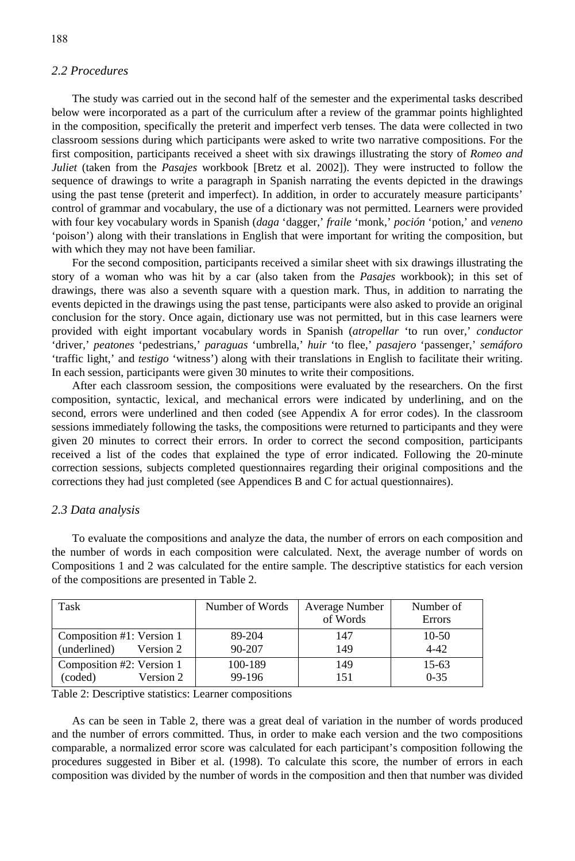#### *2.2 Procedures*

The study was carried out in the second half of the semester and the experimental tasks described below were incorporated as a part of the curriculum after a review of the grammar points highlighted in the composition, specifically the preterit and imperfect verb tenses. The data were collected in two classroom sessions during which participants were asked to write two narrative compositions. For the first composition, participants received a sheet with six drawings illustrating the story of *Romeo and Juliet* (taken from the *Pasajes* workbook [Bretz et al. 2002]). They were instructed to follow the sequence of drawings to write a paragraph in Spanish narrating the events depicted in the drawings using the past tense (preterit and imperfect). In addition, in order to accurately measure participants' control of grammar and vocabulary, the use of a dictionary was not permitted. Learners were provided with four key vocabulary words in Spanish (*daga* 'dagger,' *fraile* 'monk,' *poción* 'potion,' and *veneno* 'poison') along with their translations in English that were important for writing the composition, but with which they may not have been familiar.

For the second composition, participants received a similar sheet with six drawings illustrating the story of a woman who was hit by a car (also taken from the *Pasajes* workbook); in this set of drawings, there was also a seventh square with a question mark. Thus, in addition to narrating the events depicted in the drawings using the past tense, participants were also asked to provide an original conclusion for the story. Once again, dictionary use was not permitted, but in this case learners were provided with eight important vocabulary words in Spanish (*atropellar* 'to run over,' *conductor* 'driver,' *peatones* 'pedestrians,' *paraguas* 'umbrella,' *huir* 'to flee,' *pasajero* 'passenger,' *semáforo* 'traffic light,' and *testigo* 'witness') along with their translations in English to facilitate their writing. In each session, participants were given 30 minutes to write their compositions.

After each classroom session, the compositions were evaluated by the researchers. On the first composition, syntactic, lexical, and mechanical errors were indicated by underlining, and on the second, errors were underlined and then coded (see Appendix A for error codes). In the classroom sessions immediately following the tasks, the compositions were returned to participants and they were given 20 minutes to correct their errors. In order to correct the second composition, participants received a list of the codes that explained the type of error indicated. Following the 20-minute correction sessions, subjects completed questionnaires regarding their original compositions and the corrections they had just completed (see Appendices B and C for actual questionnaires).

#### *2.3 Data analysis*

To evaluate the compositions and analyze the data, the number of errors on each composition and the number of words in each composition were calculated. Next, the average number of words on Compositions 1 and 2 was calculated for the entire sample. The descriptive statistics for each version of the compositions are presented in Table 2.

| Task                                                   | Number of Words   | Average Number<br>of Words | Number of<br><b>Errors</b> |
|--------------------------------------------------------|-------------------|----------------------------|----------------------------|
| Composition #1: Version 1<br>(underlined)<br>Version 2 | 89-204<br>90-207  | 147<br>149                 | $10-50$<br>$4 - 42$        |
| Composition #2: Version 1<br>(coded)<br>Version 2      | 100-189<br>99-196 | 149<br>151                 | 15-63<br>$0 - 35$          |

Table 2: Descriptive statistics: Learner compositions

As can be seen in Table 2, there was a great deal of variation in the number of words produced and the number of errors committed. Thus, in order to make each version and the two compositions comparable, a normalized error score was calculated for each participant's composition following the procedures suggested in Biber et al. (1998). To calculate this score, the number of errors in each composition was divided by the number of words in the composition and then that number was divided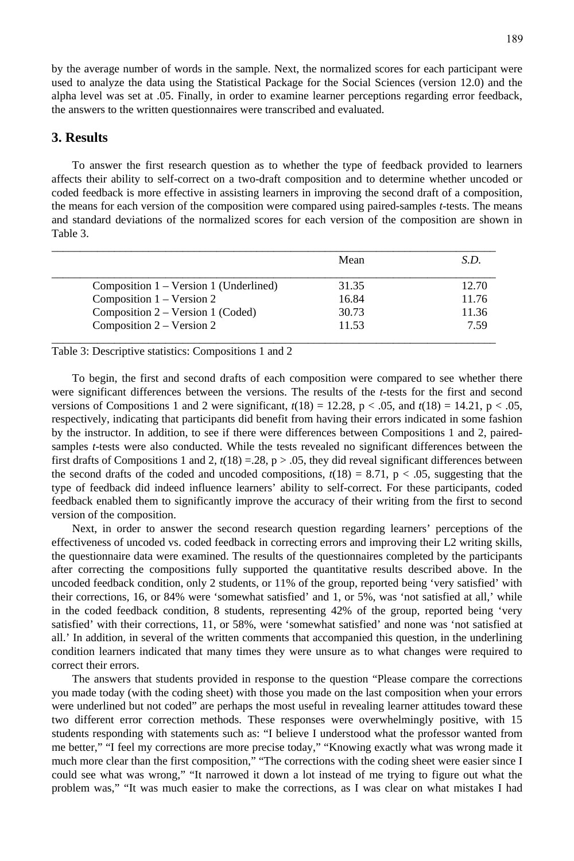by the average number of words in the sample. Next, the normalized scores for each participant were used to analyze the data using the Statistical Package for the Social Sciences (version 12.0) and the alpha level was set at .05. Finally, in order to examine learner perceptions regarding error feedback, the answers to the written questionnaires were transcribed and evaluated.

#### **3. Results**

To answer the first research question as to whether the type of feedback provided to learners affects their ability to self-correct on a two-draft composition and to determine whether uncoded or coded feedback is more effective in assisting learners in improving the second draft of a composition, the means for each version of the composition were compared using paired-samples *t*-tests. The means and standard deviations of the normalized scores for each version of the composition are shown in Table 3.

|                                        | Mean  | S.D.  |
|----------------------------------------|-------|-------|
| Composition 1 – Version 1 (Underlined) | 31.35 | 12.70 |
| Composition $1 - V$ ersion 2           | 16.84 | 11.76 |
| Composition 2 – Version 1 (Coded)      | 30.73 | 11.36 |
| Composition $2 - V$ ersion 2           | 11.53 | 7.59  |

Table 3: Descriptive statistics: Compositions 1 and 2

To begin, the first and second drafts of each composition were compared to see whether there were significant differences between the versions. The results of the *t*-tests for the first and second versions of Compositions 1 and 2 were significant,  $t(18) = 12.28$ ,  $p < .05$ , and  $t(18) = 14.21$ ,  $p < .05$ , respectively, indicating that participants did benefit from having their errors indicated in some fashion by the instructor. In addition, to see if there were differences between Compositions 1 and 2, pairedsamples *t*-tests were also conducted. While the tests revealed no significant differences between the first drafts of Compositions 1 and 2,  $t(18) = .28$ ,  $p > .05$ , they did reveal significant differences between the second drafts of the coded and uncoded compositions,  $t(18) = 8.71$ , p < .05, suggesting that the type of feedback did indeed influence learners' ability to self-correct. For these participants, coded feedback enabled them to significantly improve the accuracy of their writing from the first to second version of the composition.

Next, in order to answer the second research question regarding learners' perceptions of the effectiveness of uncoded vs. coded feedback in correcting errors and improving their L2 writing skills, the questionnaire data were examined. The results of the questionnaires completed by the participants after correcting the compositions fully supported the quantitative results described above. In the uncoded feedback condition, only 2 students, or 11% of the group, reported being 'very satisfied' with their corrections, 16, or 84% were 'somewhat satisfied' and 1, or 5%, was 'not satisfied at all,' while in the coded feedback condition, 8 students, representing 42% of the group, reported being 'very satisfied' with their corrections, 11, or 58%, were 'somewhat satisfied' and none was 'not satisfied at all.' In addition, in several of the written comments that accompanied this question, in the underlining condition learners indicated that many times they were unsure as to what changes were required to correct their errors.

The answers that students provided in response to the question "Please compare the corrections you made today (with the coding sheet) with those you made on the last composition when your errors were underlined but not coded" are perhaps the most useful in revealing learner attitudes toward these two different error correction methods. These responses were overwhelmingly positive, with 15 students responding with statements such as: "I believe I understood what the professor wanted from me better," "I feel my corrections are more precise today," "Knowing exactly what was wrong made it much more clear than the first composition," "The corrections with the coding sheet were easier since I could see what was wrong," "It narrowed it down a lot instead of me trying to figure out what the problem was," "It was much easier to make the corrections, as I was clear on what mistakes I had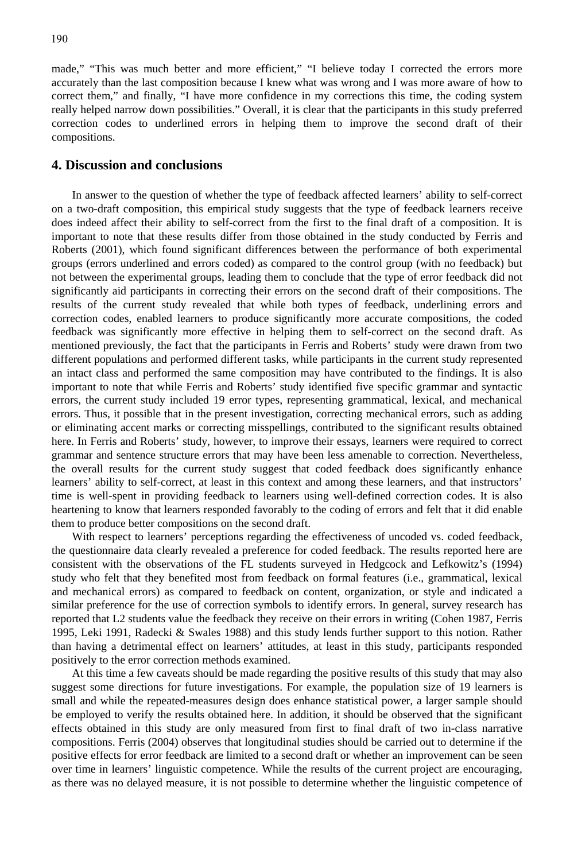made," "This was much better and more efficient," "I believe today I corrected the errors more accurately than the last composition because I knew what was wrong and I was more aware of how to correct them," and finally, "I have more confidence in my corrections this time, the coding system really helped narrow down possibilities." Overall, it is clear that the participants in this study preferred correction codes to underlined errors in helping them to improve the second draft of their compositions.

#### **4. Discussion and conclusions**

In answer to the question of whether the type of feedback affected learners' ability to self-correct on a two-draft composition, this empirical study suggests that the type of feedback learners receive does indeed affect their ability to self-correct from the first to the final draft of a composition. It is important to note that these results differ from those obtained in the study conducted by Ferris and Roberts (2001), which found significant differences between the performance of both experimental groups (errors underlined and errors coded) as compared to the control group (with no feedback) but not between the experimental groups, leading them to conclude that the type of error feedback did not significantly aid participants in correcting their errors on the second draft of their compositions. The results of the current study revealed that while both types of feedback, underlining errors and correction codes, enabled learners to produce significantly more accurate compositions, the coded feedback was significantly more effective in helping them to self-correct on the second draft. As mentioned previously, the fact that the participants in Ferris and Roberts' study were drawn from two different populations and performed different tasks, while participants in the current study represented an intact class and performed the same composition may have contributed to the findings. It is also important to note that while Ferris and Roberts' study identified five specific grammar and syntactic errors, the current study included 19 error types, representing grammatical, lexical, and mechanical errors. Thus, it possible that in the present investigation, correcting mechanical errors, such as adding or eliminating accent marks or correcting misspellings, contributed to the significant results obtained here. In Ferris and Roberts' study, however, to improve their essays, learners were required to correct grammar and sentence structure errors that may have been less amenable to correction. Nevertheless, the overall results for the current study suggest that coded feedback does significantly enhance learners' ability to self-correct, at least in this context and among these learners, and that instructors' time is well-spent in providing feedback to learners using well-defined correction codes. It is also heartening to know that learners responded favorably to the coding of errors and felt that it did enable them to produce better compositions on the second draft.

With respect to learners' perceptions regarding the effectiveness of uncoded vs. coded feedback, the questionnaire data clearly revealed a preference for coded feedback. The results reported here are consistent with the observations of the FL students surveyed in Hedgcock and Lefkowitz's (1994) study who felt that they benefited most from feedback on formal features (i.e., grammatical, lexical and mechanical errors) as compared to feedback on content, organization, or style and indicated a similar preference for the use of correction symbols to identify errors. In general, survey research has reported that L2 students value the feedback they receive on their errors in writing (Cohen 1987, Ferris 1995, Leki 1991, Radecki & Swales 1988) and this study lends further support to this notion. Rather than having a detrimental effect on learners' attitudes, at least in this study, participants responded positively to the error correction methods examined.

At this time a few caveats should be made regarding the positive results of this study that may also suggest some directions for future investigations. For example, the population size of 19 learners is small and while the repeated-measures design does enhance statistical power, a larger sample should be employed to verify the results obtained here. In addition, it should be observed that the significant effects obtained in this study are only measured from first to final draft of two in-class narrative compositions. Ferris (2004) observes that longitudinal studies should be carried out to determine if the positive effects for error feedback are limited to a second draft or whether an improvement can be seen over time in learners' linguistic competence. While the results of the current project are encouraging, as there was no delayed measure, it is not possible to determine whether the linguistic competence of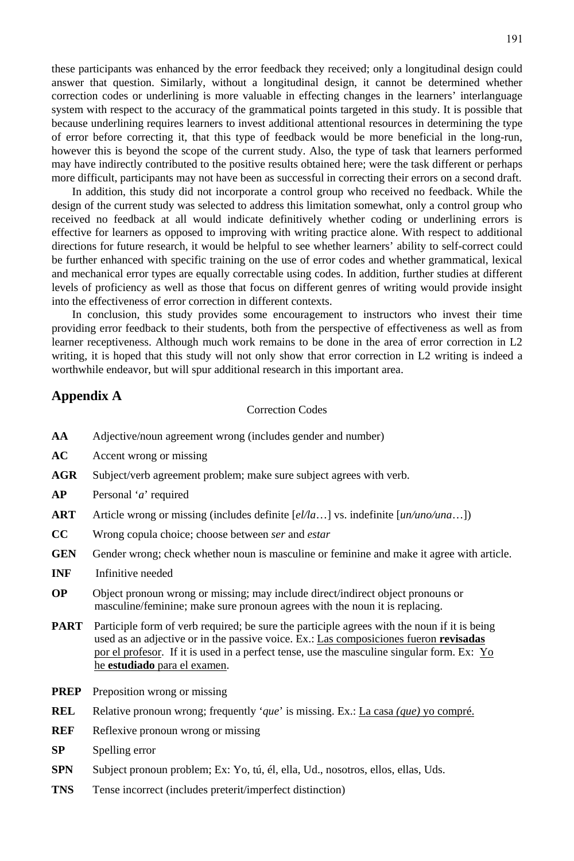these participants was enhanced by the error feedback they received; only a longitudinal design could answer that question. Similarly, without a longitudinal design, it cannot be determined whether correction codes or underlining is more valuable in effecting changes in the learners' interlanguage system with respect to the accuracy of the grammatical points targeted in this study. It is possible that because underlining requires learners to invest additional attentional resources in determining the type of error before correcting it, that this type of feedback would be more beneficial in the long-run, however this is beyond the scope of the current study. Also, the type of task that learners performed may have indirectly contributed to the positive results obtained here; were the task different or perhaps more difficult, participants may not have been as successful in correcting their errors on a second draft.

In addition, this study did not incorporate a control group who received no feedback. While the design of the current study was selected to address this limitation somewhat, only a control group who received no feedback at all would indicate definitively whether coding or underlining errors is effective for learners as opposed to improving with writing practice alone. With respect to additional directions for future research, it would be helpful to see whether learners' ability to self-correct could be further enhanced with specific training on the use of error codes and whether grammatical, lexical and mechanical error types are equally correctable using codes. In addition, further studies at different levels of proficiency as well as those that focus on different genres of writing would provide insight into the effectiveness of error correction in different contexts.

In conclusion, this study provides some encouragement to instructors who invest their time providing error feedback to their students, both from the perspective of effectiveness as well as from learner receptiveness. Although much work remains to be done in the area of error correction in L2 writing, it is hoped that this study will not only show that error correction in L2 writing is indeed a worthwhile endeavor, but will spur additional research in this important area.

#### **Appendix A**

#### Correction Codes

- **AA** Adjective/noun agreement wrong (includes gender and number)
- **AC** Accent wrong or missing
- AGR Subject/verb agreement problem; make sure subject agrees with verb.
- **AP** Personal '*a*' required
- **ART** Article wrong or missing (includes definite [*el/la*…] vs. indefinite [*un/uno/una*…])
- **CC** Wrong copula choice; choose between *ser* and *estar*
- **GEN** Gender wrong; check whether noun is masculine or feminine and make it agree with article.
- **INF** Infinitive needed
- **OP** Object pronoun wrong or missing; may include direct/indirect object pronouns or masculine/feminine; make sure pronoun agrees with the noun it is replacing.
- **PART** Participle form of verb required; be sure the participle agrees with the noun if it is being used as an adjective or in the passive voice. Ex.: Las composiciones fueron **revisadas** por el profesor. If it is used in a perfect tense, use the masculine singular form. Ex: Yo he **estudiado** para el examen.
- **PREP** Preposition wrong or missing
- **REL** Relative pronoun wrong; frequently '*que*' is missing. Ex.: La casa *(que)* yo compré.
- **REF** Reflexive pronoun wrong or missing
- **SP** Spelling error
- **SPN** Subject pronoun problem; Ex: Yo, tú, él, ella, Ud., nosotros, ellos, ellas, Uds.
- **TNS** Tense incorrect (includes preterit/imperfect distinction)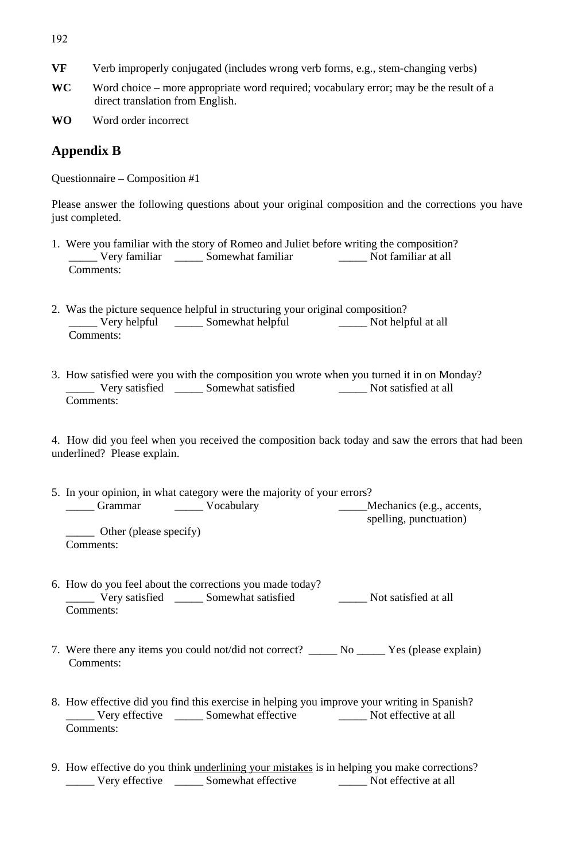- 192
- **VF** Verb improperly conjugated (includes wrong verb forms, e.g., stem-changing verbs)
- **WC** Word choice more appropriate word required; vocabulary error; may be the result of a direct translation from English.
- **WO** Word order incorrect

## **Appendix B**

Questionnaire – Composition #1

Please answer the following questions about your original composition and the corrections you have just completed.

- 1. Were you familiar with the story of Romeo and Juliet before writing the composition? \_\_\_\_\_ Very familiar \_\_\_\_\_ Somewhat familiar \_\_\_\_\_ Not familiar at all Comments:
- 2. Was the picture sequence helpful in structuring your original composition? Very helpful \_\_\_\_\_\_ Somewhat helpful \_\_\_\_\_\_\_\_ Not helpful at all Comments:
- 3. How satisfied were you with the composition you wrote when you turned it in on Monday? \_\_\_\_\_ Very satisfied \_\_\_\_\_ Somewhat satisfied \_\_\_\_\_ Not satisfied at all Comments:

4. How did you feel when you received the composition back today and saw the errors that had been underlined? Please explain.

- 5. In your opinion, in what category were the majority of your errors?<br>
<u>Crammar Cocabulary</u> Vocabulary <u>Cocabulary</u> Cocabulary Cocabulary Cocabulary Cocabulary Cocabulary Cocabulary Cocabulary Cocabulary Cocabulary Cocabu \_\_\_\_\_ Grammar \_\_\_\_\_ Vocabulary \_\_\_\_\_Mechanics (e.g., accents, spelling, punctuation) \_\_\_\_\_ Other (please specify) Comments:
- 6. How do you feel about the corrections you made today?  $\frac{1}{2}$  Very satisfied  $\frac{1}{2}$  Somewhat satisfied  $\frac{1}{2}$  Not satisfied at all Comments:
- 7. Were there any items you could not/did not correct? \_\_\_\_\_ No \_\_\_\_\_ Yes (please explain) Comments:
- 8. How effective did you find this exercise in helping you improve your writing in Spanish? \_\_\_\_\_ Very effective \_\_\_\_\_ Somewhat effective \_\_\_\_\_ Not effective at all Comments:
- 9. How effective do you think underlining your mistakes is in helping you make corrections? \_\_\_\_\_ Very effective \_\_\_\_\_ Somewhat effective \_\_\_\_\_ Not effective at all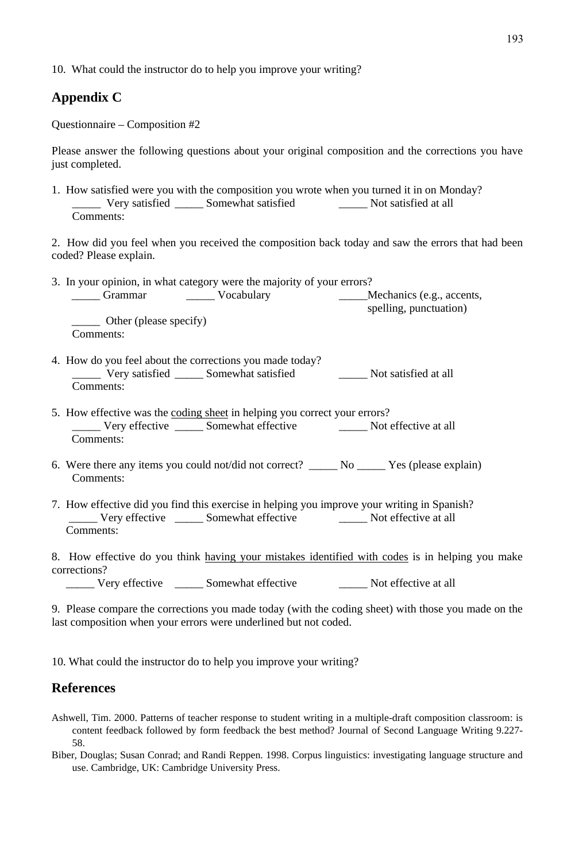10. What could the instructor do to help you improve your writing?

# **Appendix C**

Questionnaire – Composition #2

Please answer the following questions about your original composition and the corrections you have just completed.

1. How satisfied were you with the composition you wrote when you turned it in on Monday?<br>
Very satisfied \_\_\_\_\_\_\_\_ Somewhat satisfied Not satisfied at all Very satisfied \_\_\_\_\_\_ Somewhat satisfied Comments:

2. How did you feel when you received the composition back today and saw the errors that had been coded? Please explain.

| 3. In your opinion, in what category were the majority of your errors? |                           |  |  |  |  |
|------------------------------------------------------------------------|---------------------------|--|--|--|--|
| Vocabulary<br>Grammar                                                  | Mechanics (e.g., accents, |  |  |  |  |
|                                                                        | spelling, punctuation)    |  |  |  |  |
| Other (please specify)<br>Comments:                                    |                           |  |  |  |  |
|                                                                        |                           |  |  |  |  |

- 4. How do you feel about the corrections you made today? \_\_\_\_\_ Very satisfied \_\_\_\_\_ Somewhat satisfied \_\_\_\_\_ Not satisfied at all Comments:
- 5. How effective was the coding sheet in helping you correct your errors? \_\_\_\_\_ Very effective \_\_\_\_\_ Somewhat effective \_\_\_\_\_ Not effective at all Comments:
- 6. Were there any items you could not/did not correct? \_\_\_\_\_ No \_\_\_\_\_ Yes (please explain) Comments:
- 7. How effective did you find this exercise in helping you improve your writing in Spanish? \_\_\_\_\_ Very effective \_\_\_\_\_ Somewhat effective \_\_\_\_\_ Not effective at all Comments:
- 8. How effective do you think having your mistakes identified with codes is in helping you make corrections?

\_\_\_\_\_ Very effective \_\_\_\_\_ Somewhat effective \_\_\_\_\_ Not effective at all

9. Please compare the corrections you made today (with the coding sheet) with those you made on the last composition when your errors were underlined but not coded.

10. What could the instructor do to help you improve your writing?

# **References**

- Ashwell, Tim. 2000. Patterns of teacher response to student writing in a multiple-draft composition classroom: is content feedback followed by form feedback the best method? Journal of Second Language Writing 9.227- 58.
- Biber, Douglas; Susan Conrad; and Randi Reppen. 1998. Corpus linguistics: investigating language structure and use. Cambridge, UK: Cambridge University Press.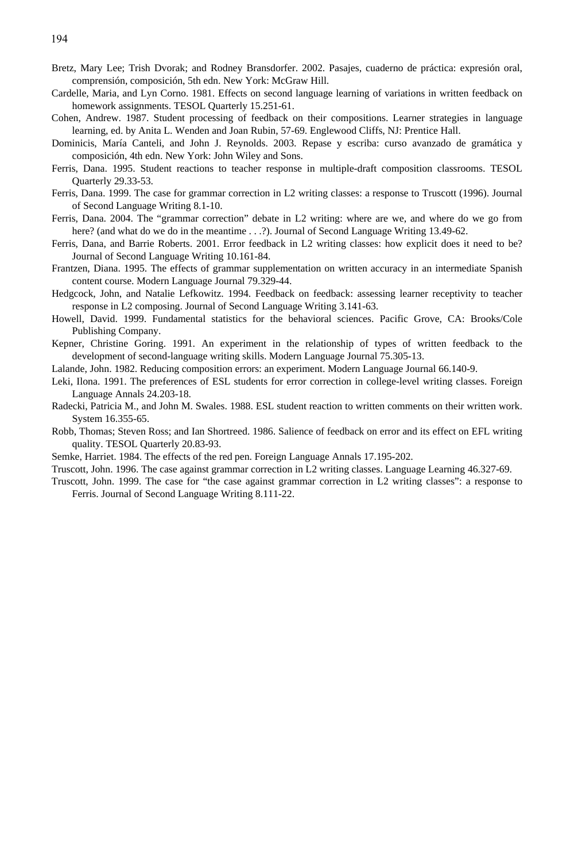- Bretz, Mary Lee; Trish Dvorak; and Rodney Bransdorfer. 2002. Pasajes, cuaderno de práctica: expresión oral, comprensión, composición, 5th edn. New York: McGraw Hill.
- Cardelle, Maria, and Lyn Corno. 1981. Effects on second language learning of variations in written feedback on homework assignments. TESOL Quarterly 15.251-61.
- Cohen, Andrew. 1987. Student processing of feedback on their compositions. Learner strategies in language learning, ed. by Anita L. Wenden and Joan Rubin, 57-69. Englewood Cliffs, NJ: Prentice Hall.
- Dominicis, María Canteli, and John J. Reynolds. 2003. Repase y escriba: curso avanzado de gramática y composición, 4th edn. New York: John Wiley and Sons.
- Ferris, Dana. 1995. Student reactions to teacher response in multiple-draft composition classrooms. TESOL Quarterly 29.33-53.
- Ferris, Dana. 1999. The case for grammar correction in L2 writing classes: a response to Truscott (1996). Journal of Second Language Writing 8.1-10.
- Ferris, Dana. 2004. The "grammar correction" debate in L2 writing: where are we, and where do we go from here? (and what do we do in the meantime . . .?). Journal of Second Language Writing 13.49-62.
- Ferris, Dana, and Barrie Roberts. 2001. Error feedback in L2 writing classes: how explicit does it need to be? Journal of Second Language Writing 10.161-84.
- Frantzen, Diana. 1995. The effects of grammar supplementation on written accuracy in an intermediate Spanish content course. Modern Language Journal 79.329-44.
- Hedgcock, John, and Natalie Lefkowitz. 1994. Feedback on feedback: assessing learner receptivity to teacher response in L2 composing. Journal of Second Language Writing 3.141-63.
- Howell, David. 1999. Fundamental statistics for the behavioral sciences. Pacific Grove, CA: Brooks/Cole Publishing Company.
- Kepner, Christine Goring. 1991. An experiment in the relationship of types of written feedback to the development of second-language writing skills. Modern Language Journal 75.305-13.
- Lalande, John. 1982. Reducing composition errors: an experiment. Modern Language Journal 66.140-9.
- Leki, Ilona. 1991. The preferences of ESL students for error correction in college-level writing classes. Foreign Language Annals 24.203-18.
- Radecki, Patricia M., and John M. Swales. 1988. ESL student reaction to written comments on their written work. System 16.355-65.
- Robb, Thomas; Steven Ross; and Ian Shortreed. 1986. Salience of feedback on error and its effect on EFL writing quality. TESOL Quarterly 20.83-93.
- Semke, Harriet. 1984. The effects of the red pen. Foreign Language Annals 17.195-202.
- Truscott, John. 1996. The case against grammar correction in L2 writing classes. Language Learning 46.327-69.
- Truscott, John. 1999. The case for "the case against grammar correction in L2 writing classes": a response to Ferris. Journal of Second Language Writing 8.111-22.